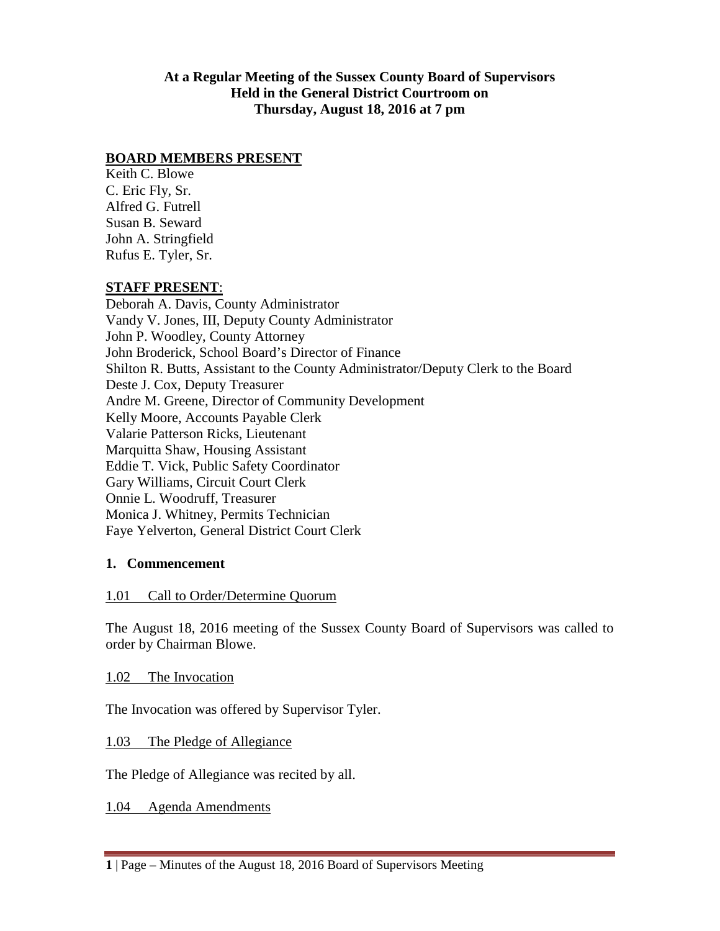#### **At a Regular Meeting of the Sussex County Board of Supervisors Held in the General District Courtroom on Thursday, August 18, 2016 at 7 pm**

#### **BOARD MEMBERS PRESENT**

Keith C. Blowe C. Eric Fly, Sr. Alfred G. Futrell Susan B. Seward John A. Stringfield Rufus E. Tyler, Sr.

#### **STAFF PRESENT**:

Deborah A. Davis, County Administrator Vandy V. Jones, III, Deputy County Administrator John P. Woodley, County Attorney John Broderick, School Board's Director of Finance Shilton R. Butts, Assistant to the County Administrator/Deputy Clerk to the Board Deste J. Cox, Deputy Treasurer Andre M. Greene, Director of Community Development Kelly Moore, Accounts Payable Clerk Valarie Patterson Ricks, Lieutenant Marquitta Shaw, Housing Assistant Eddie T. Vick, Public Safety Coordinator Gary Williams, Circuit Court Clerk Onnie L. Woodruff, Treasurer Monica J. Whitney, Permits Technician Faye Yelverton, General District Court Clerk

#### **1. Commencement**

### 1.01 Call to Order/Determine Quorum

The August 18, 2016 meeting of the Sussex County Board of Supervisors was called to order by Chairman Blowe.

1.02 The Invocation

The Invocation was offered by Supervisor Tyler.

1.03 The Pledge of Allegiance

The Pledge of Allegiance was recited by all.

1.04 Agenda Amendments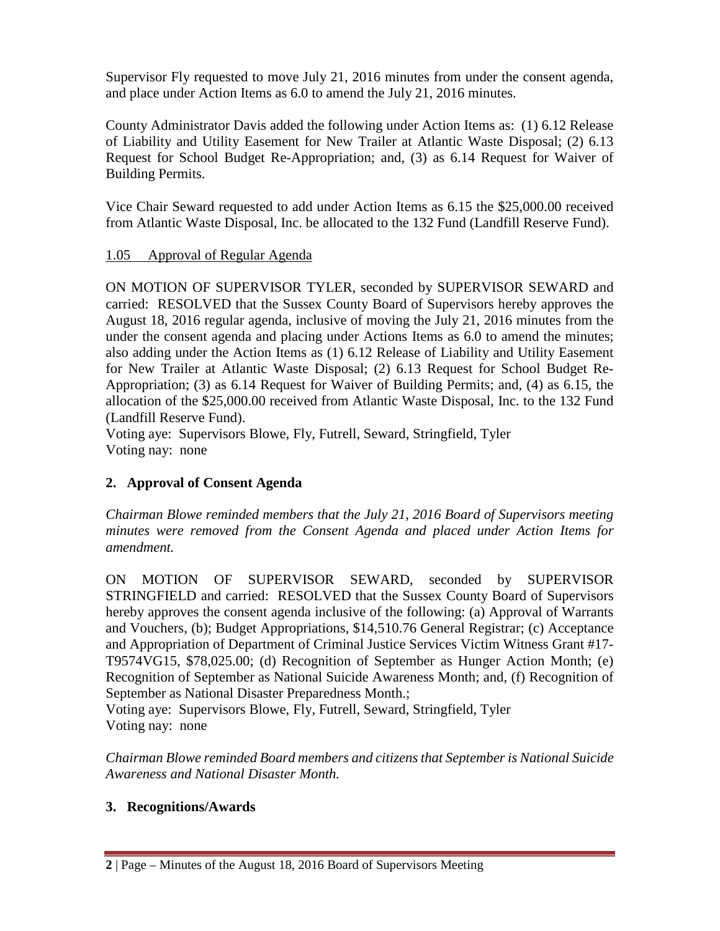Supervisor Fly requested to move July 21, 2016 minutes from under the consent agenda, and place under Action Items as 6.0 to amend the July 21, 2016 minutes.

County Administrator Davis added the following under Action Items as: (1) 6.12 Release of Liability and Utility Easement for New Trailer at Atlantic Waste Disposal; (2) 6.13 Request for School Budget Re-Appropriation; and, (3) as 6.14 Request for Waiver of Building Permits.

Vice Chair Seward requested to add under Action Items as 6.15 the \$25,000.00 received from Atlantic Waste Disposal, Inc. be allocated to the 132 Fund (Landfill Reserve Fund).

### 1.05 Approval of Regular Agenda

ON MOTION OF SUPERVISOR TYLER, seconded by SUPERVISOR SEWARD and carried: RESOLVED that the Sussex County Board of Supervisors hereby approves the August 18, 2016 regular agenda, inclusive of moving the July 21, 2016 minutes from the under the consent agenda and placing under Actions Items as 6.0 to amend the minutes; also adding under the Action Items as (1) 6.12 Release of Liability and Utility Easement for New Trailer at Atlantic Waste Disposal; (2) 6.13 Request for School Budget Re-Appropriation; (3) as 6.14 Request for Waiver of Building Permits; and, (4) as 6.15, the allocation of the \$25,000.00 received from Atlantic Waste Disposal, Inc. to the 132 Fund (Landfill Reserve Fund).

Voting aye: Supervisors Blowe, Fly, Futrell, Seward, Stringfield, Tyler Voting nay: none

# **2. Approval of Consent Agenda**

*Chairman Blowe reminded members that the July 21, 2016 Board of Supervisors meeting minutes were removed from the Consent Agenda and placed under Action Items for amendment.*

ON MOTION OF SUPERVISOR SEWARD, seconded by SUPERVISOR STRINGFIELD and carried: RESOLVED that the Sussex County Board of Supervisors hereby approves the consent agenda inclusive of the following: (a) Approval of Warrants and Vouchers, (b); Budget Appropriations, \$14,510.76 General Registrar; (c) Acceptance and Appropriation of Department of Criminal Justice Services Victim Witness Grant #17- T9574VG15, \$78,025.00; (d) Recognition of September as Hunger Action Month; (e) Recognition of September as National Suicide Awareness Month; and, (f) Recognition of September as National Disaster Preparedness Month.;

Voting aye: Supervisors Blowe, Fly, Futrell, Seward, Stringfield, Tyler Voting nay: none

*Chairman Blowe reminded Board members and citizens that September is National Suicide Awareness and National Disaster Month.*

# **3. Recognitions/Awards**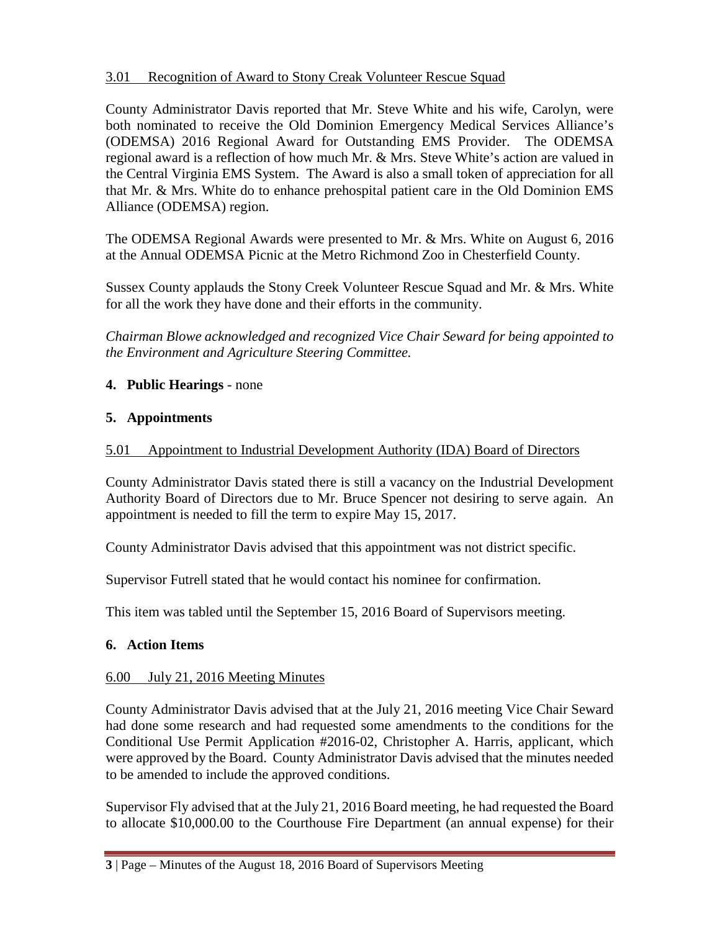### 3.01 Recognition of Award to Stony Creak Volunteer Rescue Squad

County Administrator Davis reported that Mr. Steve White and his wife, Carolyn, were both nominated to receive the Old Dominion Emergency Medical Services Alliance's (ODEMSA) 2016 Regional Award for Outstanding EMS Provider. The ODEMSA regional award is a reflection of how much Mr. & Mrs. Steve White's action are valued in the Central Virginia EMS System. The Award is also a small token of appreciation for all that Mr. & Mrs. White do to enhance prehospital patient care in the Old Dominion EMS Alliance (ODEMSA) region.

The ODEMSA Regional Awards were presented to Mr. & Mrs. White on August 6, 2016 at the Annual ODEMSA Picnic at the Metro Richmond Zoo in Chesterfield County.

Sussex County applauds the Stony Creek Volunteer Rescue Squad and Mr. & Mrs. White for all the work they have done and their efforts in the community.

*Chairman Blowe acknowledged and recognized Vice Chair Seward for being appointed to the Environment and Agriculture Steering Committee.*

### **4. Public Hearings** - none

### **5. Appointments**

### 5.01 Appointment to Industrial Development Authority (IDA) Board of Directors

County Administrator Davis stated there is still a vacancy on the Industrial Development Authority Board of Directors due to Mr. Bruce Spencer not desiring to serve again. An appointment is needed to fill the term to expire May 15, 2017.

County Administrator Davis advised that this appointment was not district specific.

Supervisor Futrell stated that he would contact his nominee for confirmation.

This item was tabled until the September 15, 2016 Board of Supervisors meeting.

### **6. Action Items**

### 6.00 July 21, 2016 Meeting Minutes

County Administrator Davis advised that at the July 21, 2016 meeting Vice Chair Seward had done some research and had requested some amendments to the conditions for the Conditional Use Permit Application #2016-02, Christopher A. Harris, applicant, which were approved by the Board. County Administrator Davis advised that the minutes needed to be amended to include the approved conditions.

Supervisor Fly advised that at the July 21, 2016 Board meeting, he had requested the Board to allocate \$10,000.00 to the Courthouse Fire Department (an annual expense) for their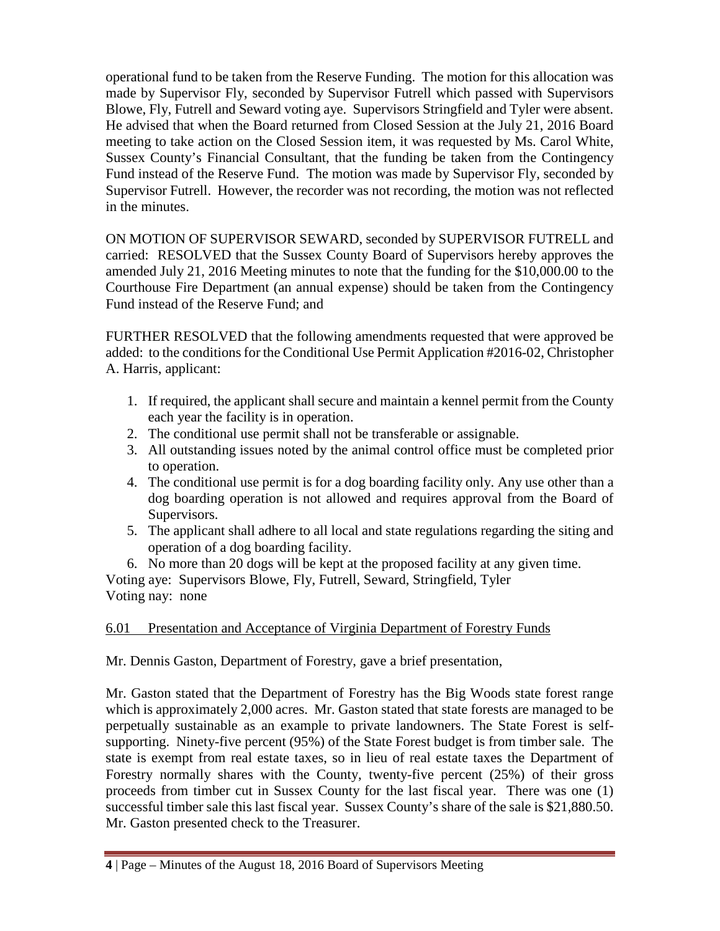operational fund to be taken from the Reserve Funding. The motion for this allocation was made by Supervisor Fly, seconded by Supervisor Futrell which passed with Supervisors Blowe, Fly, Futrell and Seward voting aye. Supervisors Stringfield and Tyler were absent. He advised that when the Board returned from Closed Session at the July 21, 2016 Board meeting to take action on the Closed Session item, it was requested by Ms. Carol White, Sussex County's Financial Consultant, that the funding be taken from the Contingency Fund instead of the Reserve Fund. The motion was made by Supervisor Fly, seconded by Supervisor Futrell. However, the recorder was not recording, the motion was not reflected in the minutes.

ON MOTION OF SUPERVISOR SEWARD, seconded by SUPERVISOR FUTRELL and carried: RESOLVED that the Sussex County Board of Supervisors hereby approves the amended July 21, 2016 Meeting minutes to note that the funding for the \$10,000.00 to the Courthouse Fire Department (an annual expense) should be taken from the Contingency Fund instead of the Reserve Fund; and

FURTHER RESOLVED that the following amendments requested that were approved be added: to the conditions for the Conditional Use Permit Application #2016-02, Christopher A. Harris, applicant:

- 1. If required, the applicant shall secure and maintain a kennel permit from the County each year the facility is in operation.
- 2. The conditional use permit shall not be transferable or assignable.
- 3. All outstanding issues noted by the animal control office must be completed prior to operation.
- 4. The conditional use permit is for a dog boarding facility only. Any use other than a dog boarding operation is not allowed and requires approval from the Board of Supervisors.
- 5. The applicant shall adhere to all local and state regulations regarding the siting and operation of a dog boarding facility.

6. No more than 20 dogs will be kept at the proposed facility at any given time. Voting aye: Supervisors Blowe, Fly, Futrell, Seward, Stringfield, Tyler Voting nay: none

# 6.01 Presentation and Acceptance of Virginia Department of Forestry Funds

Mr. Dennis Gaston, Department of Forestry, gave a brief presentation,

Mr. Gaston stated that the Department of Forestry has the Big Woods state forest range which is approximately 2,000 acres. Mr. Gaston stated that state forests are managed to be perpetually sustainable as an example to private landowners. The State Forest is selfsupporting. Ninety-five percent (95%) of the State Forest budget is from timber sale. The state is exempt from real estate taxes, so in lieu of real estate taxes the Department of Forestry normally shares with the County, twenty-five percent (25%) of their gross proceeds from timber cut in Sussex County for the last fiscal year. There was one (1) successful timber sale this last fiscal year. Sussex County's share of the sale is \$21,880.50. Mr. Gaston presented check to the Treasurer.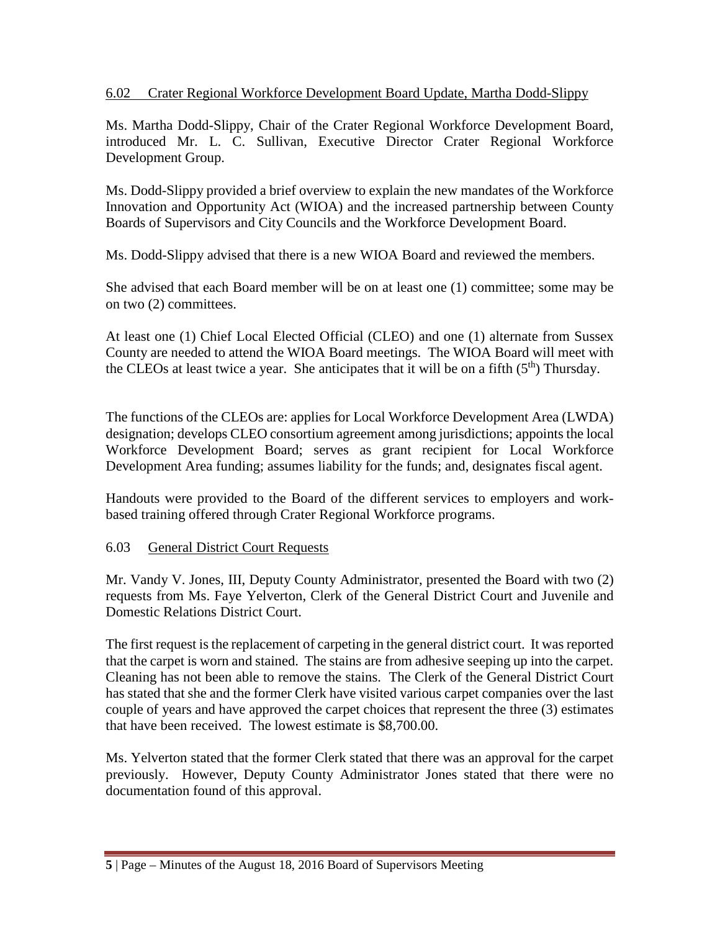### 6.02 Crater Regional Workforce Development Board Update, Martha Dodd-Slippy

Ms. Martha Dodd-Slippy, Chair of the Crater Regional Workforce Development Board, introduced Mr. L. C. Sullivan, Executive Director Crater Regional Workforce Development Group.

Ms. Dodd-Slippy provided a brief overview to explain the new mandates of the Workforce Innovation and Opportunity Act (WIOA) and the increased partnership between County Boards of Supervisors and City Councils and the Workforce Development Board.

Ms. Dodd-Slippy advised that there is a new WIOA Board and reviewed the members.

She advised that each Board member will be on at least one (1) committee; some may be on two (2) committees.

At least one (1) Chief Local Elected Official (CLEO) and one (1) alternate from Sussex County are needed to attend the WIOA Board meetings. The WIOA Board will meet with the CLEOs at least twice a year. She anticipates that it will be on a fifth  $(5<sup>th</sup>)$  Thursday.

The functions of the CLEOs are: applies for Local Workforce Development Area (LWDA) designation; develops CLEO consortium agreement among jurisdictions; appoints the local Workforce Development Board; serves as grant recipient for Local Workforce Development Area funding; assumes liability for the funds; and, designates fiscal agent.

Handouts were provided to the Board of the different services to employers and workbased training offered through Crater Regional Workforce programs.

# 6.03 General District Court Requests

Mr. Vandy V. Jones, III, Deputy County Administrator, presented the Board with two (2) requests from Ms. Faye Yelverton, Clerk of the General District Court and Juvenile and Domestic Relations District Court.

The first request is the replacement of carpeting in the general district court. It was reported that the carpet is worn and stained. The stains are from adhesive seeping up into the carpet. Cleaning has not been able to remove the stains. The Clerk of the General District Court has stated that she and the former Clerk have visited various carpet companies over the last couple of years and have approved the carpet choices that represent the three (3) estimates that have been received. The lowest estimate is \$8,700.00.

Ms. Yelverton stated that the former Clerk stated that there was an approval for the carpet previously. However, Deputy County Administrator Jones stated that there were no documentation found of this approval.

**<sup>5</sup>** | Page – Minutes of the August 18, 2016 Board of Supervisors Meeting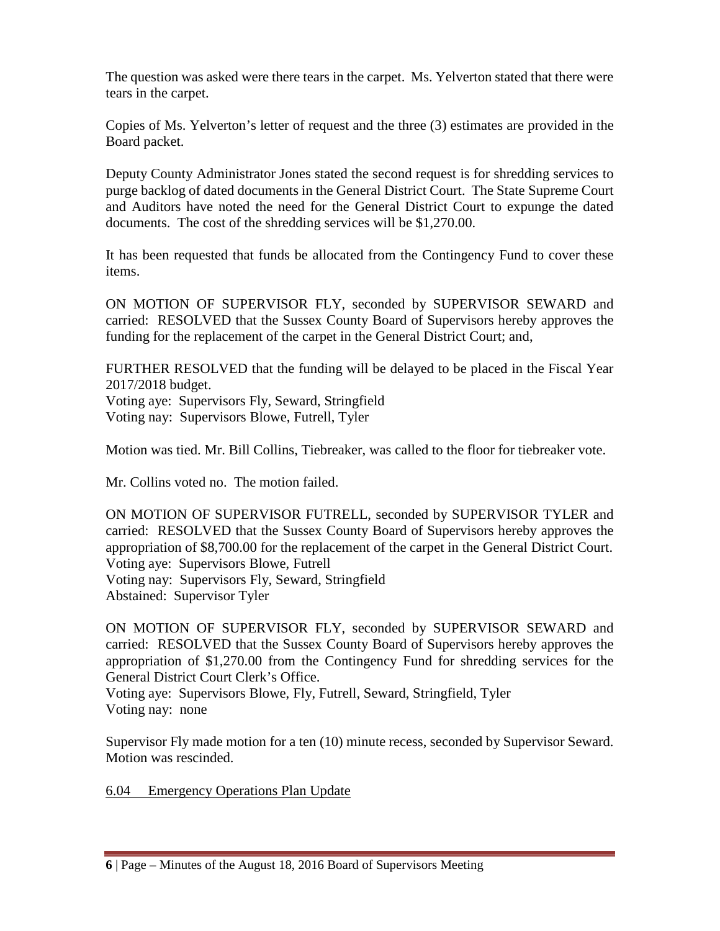The question was asked were there tears in the carpet. Ms. Yelverton stated that there were tears in the carpet.

Copies of Ms. Yelverton's letter of request and the three (3) estimates are provided in the Board packet.

Deputy County Administrator Jones stated the second request is for shredding services to purge backlog of dated documents in the General District Court. The State Supreme Court and Auditors have noted the need for the General District Court to expunge the dated documents. The cost of the shredding services will be \$1,270.00.

It has been requested that funds be allocated from the Contingency Fund to cover these items.

ON MOTION OF SUPERVISOR FLY, seconded by SUPERVISOR SEWARD and carried: RESOLVED that the Sussex County Board of Supervisors hereby approves the funding for the replacement of the carpet in the General District Court; and,

FURTHER RESOLVED that the funding will be delayed to be placed in the Fiscal Year 2017/2018 budget. Voting aye: Supervisors Fly, Seward, Stringfield Voting nay: Supervisors Blowe, Futrell, Tyler

Motion was tied. Mr. Bill Collins, Tiebreaker, was called to the floor for tiebreaker vote.

Mr. Collins voted no. The motion failed.

ON MOTION OF SUPERVISOR FUTRELL, seconded by SUPERVISOR TYLER and carried: RESOLVED that the Sussex County Board of Supervisors hereby approves the appropriation of \$8,700.00 for the replacement of the carpet in the General District Court. Voting aye: Supervisors Blowe, Futrell Voting nay: Supervisors Fly, Seward, Stringfield Abstained: Supervisor Tyler

ON MOTION OF SUPERVISOR FLY, seconded by SUPERVISOR SEWARD and carried: RESOLVED that the Sussex County Board of Supervisors hereby approves the appropriation of \$1,270.00 from the Contingency Fund for shredding services for the General District Court Clerk's Office.

Voting aye: Supervisors Blowe, Fly, Futrell, Seward, Stringfield, Tyler Voting nay: none

Supervisor Fly made motion for a ten (10) minute recess, seconded by Supervisor Seward. Motion was rescinded.

6.04 Emergency Operations Plan Update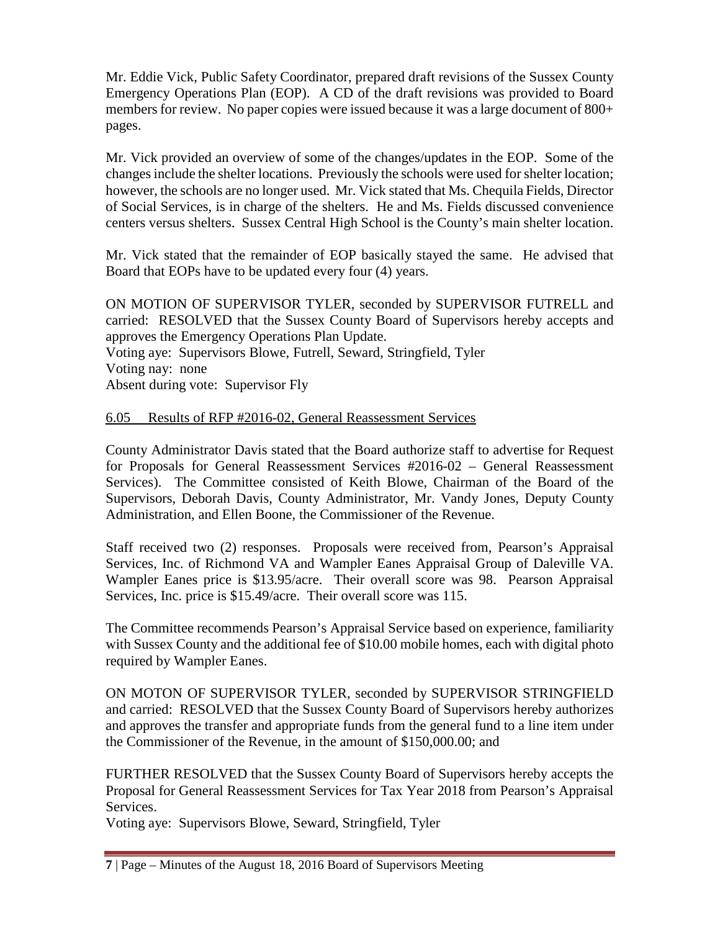Mr. Eddie Vick, Public Safety Coordinator, prepared draft revisions of the Sussex County Emergency Operations Plan (EOP). A CD of the draft revisions was provided to Board members for review. No paper copies were issued because it was a large document of 800+ pages.

Mr. Vick provided an overview of some of the changes/updates in the EOP. Some of the changes include the shelter locations. Previously the schools were used for shelter location; however, the schools are no longer used. Mr. Vick stated that Ms. Chequila Fields, Director of Social Services, is in charge of the shelters. He and Ms. Fields discussed convenience centers versus shelters. Sussex Central High School is the County's main shelter location.

Mr. Vick stated that the remainder of EOP basically stayed the same. He advised that Board that EOPs have to be updated every four (4) years.

ON MOTION OF SUPERVISOR TYLER, seconded by SUPERVISOR FUTRELL and carried: RESOLVED that the Sussex County Board of Supervisors hereby accepts and approves the Emergency Operations Plan Update. Voting aye: Supervisors Blowe, Futrell, Seward, Stringfield, Tyler Voting nay: none

Absent during vote: Supervisor Fly

### 6.05 Results of RFP #2016-02, General Reassessment Services

County Administrator Davis stated that the Board authorize staff to advertise for Request for Proposals for General Reassessment Services #2016-02 – General Reassessment Services). The Committee consisted of Keith Blowe, Chairman of the Board of the Supervisors, Deborah Davis, County Administrator, Mr. Vandy Jones, Deputy County Administration, and Ellen Boone, the Commissioner of the Revenue.

Staff received two (2) responses. Proposals were received from, Pearson's Appraisal Services, Inc. of Richmond VA and Wampler Eanes Appraisal Group of Daleville VA. Wampler Eanes price is \$13.95/acre. Their overall score was 98. Pearson Appraisal Services, Inc. price is \$15.49/acre. Their overall score was 115.

The Committee recommends Pearson's Appraisal Service based on experience, familiarity with Sussex County and the additional fee of \$10.00 mobile homes, each with digital photo required by Wampler Eanes.

ON MOTON OF SUPERVISOR TYLER, seconded by SUPERVISOR STRINGFIELD and carried: RESOLVED that the Sussex County Board of Supervisors hereby authorizes and approves the transfer and appropriate funds from the general fund to a line item under the Commissioner of the Revenue, in the amount of \$150,000.00; and

FURTHER RESOLVED that the Sussex County Board of Supervisors hereby accepts the Proposal for General Reassessment Services for Tax Year 2018 from Pearson's Appraisal Services.

Voting aye: Supervisors Blowe, Seward, Stringfield, Tyler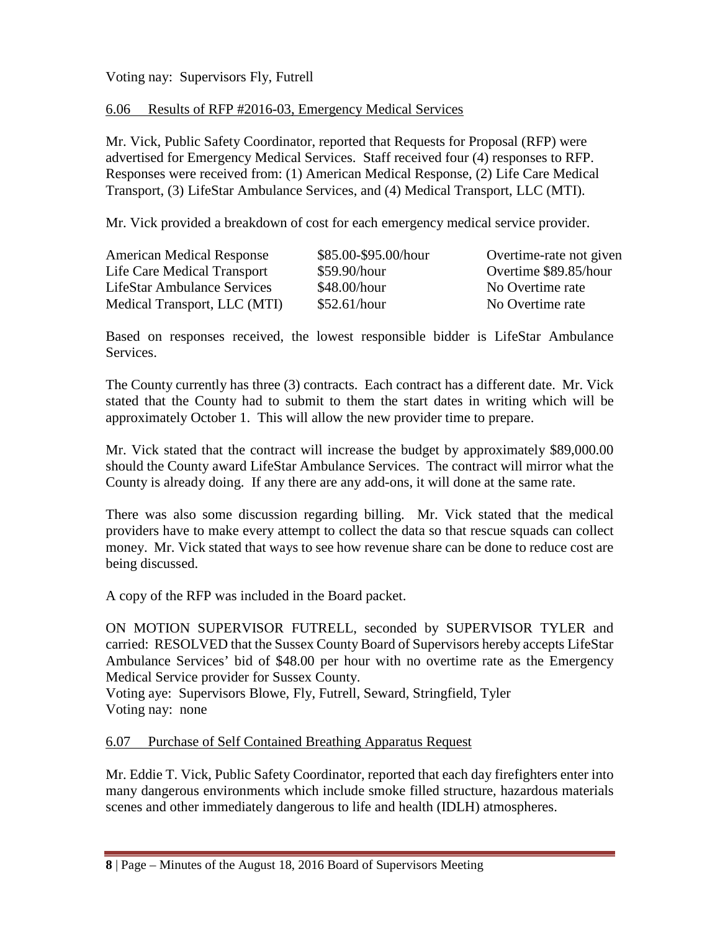Voting nay: Supervisors Fly, Futrell

#### 6.06 Results of RFP #2016-03, Emergency Medical Services

Mr. Vick, Public Safety Coordinator, reported that Requests for Proposal (RFP) were advertised for Emergency Medical Services. Staff received four (4) responses to RFP. Responses were received from: (1) American Medical Response, (2) Life Care Medical Transport, (3) LifeStar Ambulance Services, and (4) Medical Transport, LLC (MTI).

Mr. Vick provided a breakdown of cost for each emergency medical service provider.

| <b>American Medical Response</b>   | \$85.00-\$95.00/hour | Overtime-rate not given |
|------------------------------------|----------------------|-------------------------|
| Life Care Medical Transport        | \$59.90/hour         | Overtime \$89.85/hour   |
| <b>LifeStar Ambulance Services</b> | \$48.00/hour         | No Overtime rate        |
| Medical Transport, LLC (MTI)       | \$52.61/hour         | No Overtime rate        |

Based on responses received, the lowest responsible bidder is LifeStar Ambulance Services.

The County currently has three (3) contracts. Each contract has a different date. Mr. Vick stated that the County had to submit to them the start dates in writing which will be approximately October 1. This will allow the new provider time to prepare.

Mr. Vick stated that the contract will increase the budget by approximately \$89,000.00 should the County award LifeStar Ambulance Services. The contract will mirror what the County is already doing. If any there are any add-ons, it will done at the same rate.

There was also some discussion regarding billing. Mr. Vick stated that the medical providers have to make every attempt to collect the data so that rescue squads can collect money. Mr. Vick stated that ways to see how revenue share can be done to reduce cost are being discussed.

A copy of the RFP was included in the Board packet.

ON MOTION SUPERVISOR FUTRELL, seconded by SUPERVISOR TYLER and carried: RESOLVED that the Sussex County Board of Supervisors hereby accepts LifeStar Ambulance Services' bid of \$48.00 per hour with no overtime rate as the Emergency Medical Service provider for Sussex County.

Voting aye: Supervisors Blowe, Fly, Futrell, Seward, Stringfield, Tyler Voting nay: none

#### 6.07 Purchase of Self Contained Breathing Apparatus Request

Mr. Eddie T. Vick, Public Safety Coordinator, reported that each day firefighters enter into many dangerous environments which include smoke filled structure, hazardous materials scenes and other immediately dangerous to life and health (IDLH) atmospheres.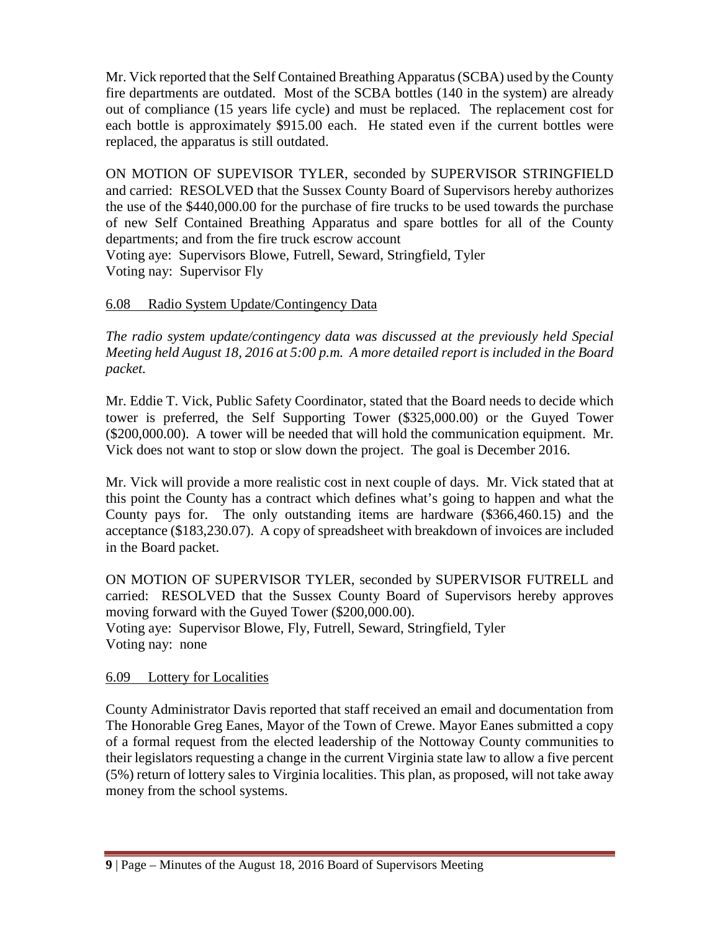Mr. Vick reported that the Self Contained Breathing Apparatus (SCBA) used by the County fire departments are outdated. Most of the SCBA bottles (140 in the system) are already out of compliance (15 years life cycle) and must be replaced. The replacement cost for each bottle is approximately \$915.00 each. He stated even if the current bottles were replaced, the apparatus is still outdated.

ON MOTION OF SUPEVISOR TYLER, seconded by SUPERVISOR STRINGFIELD and carried: RESOLVED that the Sussex County Board of Supervisors hereby authorizes the use of the \$440,000.00 for the purchase of fire trucks to be used towards the purchase of new Self Contained Breathing Apparatus and spare bottles for all of the County departments; and from the fire truck escrow account

Voting aye: Supervisors Blowe, Futrell, Seward, Stringfield, Tyler Voting nay: Supervisor Fly

# 6.08 Radio System Update/Contingency Data

*The radio system update/contingency data was discussed at the previously held Special Meeting held August 18, 2016 at 5:00 p.m. A more detailed report is included in the Board packet.*

Mr. Eddie T. Vick, Public Safety Coordinator, stated that the Board needs to decide which tower is preferred, the Self Supporting Tower (\$325,000.00) or the Guyed Tower (\$200,000.00). A tower will be needed that will hold the communication equipment. Mr. Vick does not want to stop or slow down the project. The goal is December 2016.

Mr. Vick will provide a more realistic cost in next couple of days. Mr. Vick stated that at this point the County has a contract which defines what's going to happen and what the County pays for. The only outstanding items are hardware (\$366,460.15) and the acceptance (\$183,230.07). A copy of spreadsheet with breakdown of invoices are included in the Board packet.

ON MOTION OF SUPERVISOR TYLER, seconded by SUPERVISOR FUTRELL and carried: RESOLVED that the Sussex County Board of Supervisors hereby approves moving forward with the Guyed Tower (\$200,000.00). Voting aye: Supervisor Blowe, Fly, Futrell, Seward, Stringfield, Tyler Voting nay: none

### 6.09 Lottery for Localities

County Administrator Davis reported that staff received an email and documentation from The Honorable Greg Eanes, Mayor of the Town of Crewe. Mayor Eanes submitted a copy of a formal request from the elected leadership of the Nottoway County communities to their legislators requesting a change in the current Virginia state law to allow a five percent (5%) return of lottery sales to Virginia localities. This plan, as proposed, will not take away money from the school systems.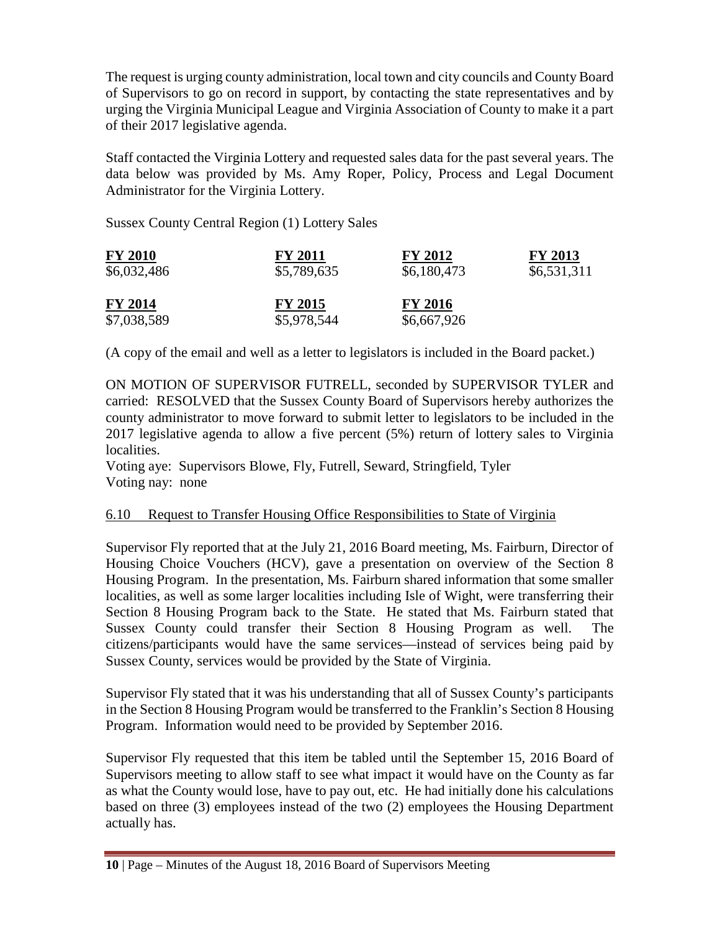The request is urging county administration, local town and city councils and County Board of Supervisors to go on record in support, by contacting the state representatives and by urging the Virginia Municipal League and Virginia Association of County to make it a part of their 2017 legislative agenda.

Staff contacted the Virginia Lottery and requested sales data for the past several years. The data below was provided by Ms. Amy Roper, Policy, Process and Legal Document Administrator for the Virginia Lottery.

Sussex County Central Region (1) Lottery Sales

| <b>FY 2010</b> | <b>FY 2011</b> | <b>FY 2012</b> | <b>FY 2013</b> |
|----------------|----------------|----------------|----------------|
| \$6,032,486    | \$5,789,635    | \$6,180,473    | \$6,531,311    |
| <b>FY 2014</b> | <b>FY 2015</b> | <b>FY 2016</b> |                |
| \$7,038,589    | \$5,978,544    | \$6,667,926    |                |

(A copy of the email and well as a letter to legislators is included in the Board packet.)

ON MOTION OF SUPERVISOR FUTRELL, seconded by SUPERVISOR TYLER and carried: RESOLVED that the Sussex County Board of Supervisors hereby authorizes the county administrator to move forward to submit letter to legislators to be included in the 2017 legislative agenda to allow a five percent (5%) return of lottery sales to Virginia localities.

Voting aye: Supervisors Blowe, Fly, Futrell, Seward, Stringfield, Tyler Voting nay: none

### 6.10 Request to Transfer Housing Office Responsibilities to State of Virginia

Supervisor Fly reported that at the July 21, 2016 Board meeting, Ms. Fairburn, Director of Housing Choice Vouchers (HCV), gave a presentation on overview of the Section 8 Housing Program. In the presentation, Ms. Fairburn shared information that some smaller localities, as well as some larger localities including Isle of Wight, were transferring their Section 8 Housing Program back to the State. He stated that Ms. Fairburn stated that Sussex County could transfer their Section 8 Housing Program as well. The citizens/participants would have the same services—instead of services being paid by Sussex County, services would be provided by the State of Virginia.

Supervisor Fly stated that it was his understanding that all of Sussex County's participants in the Section 8 Housing Program would be transferred to the Franklin's Section 8 Housing Program. Information would need to be provided by September 2016.

Supervisor Fly requested that this item be tabled until the September 15, 2016 Board of Supervisors meeting to allow staff to see what impact it would have on the County as far as what the County would lose, have to pay out, etc. He had initially done his calculations based on three (3) employees instead of the two (2) employees the Housing Department actually has.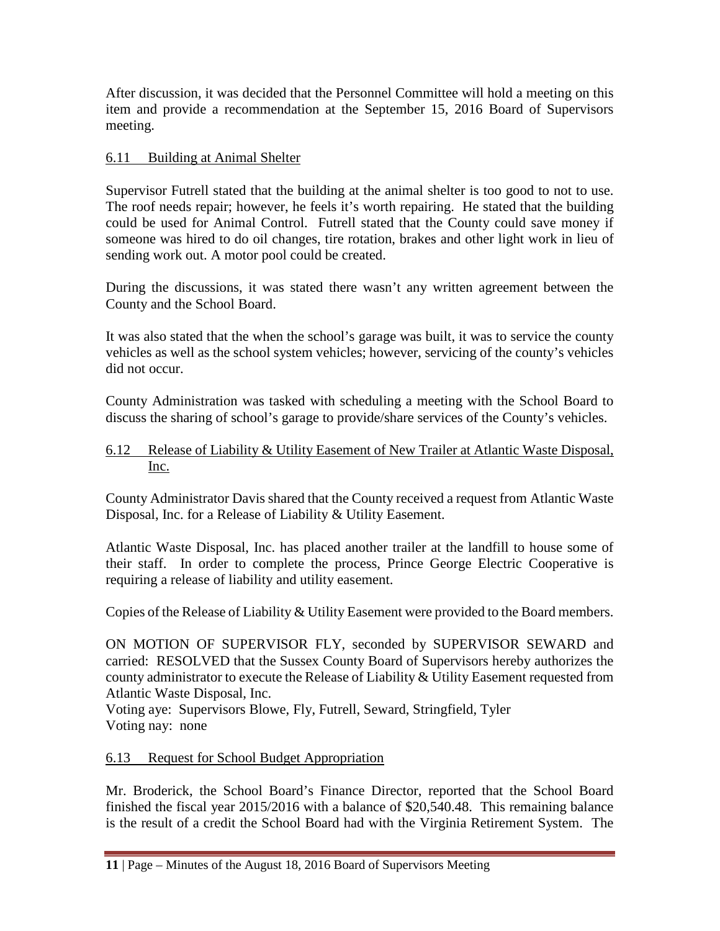After discussion, it was decided that the Personnel Committee will hold a meeting on this item and provide a recommendation at the September 15, 2016 Board of Supervisors meeting.

### 6.11 Building at Animal Shelter

Supervisor Futrell stated that the building at the animal shelter is too good to not to use. The roof needs repair; however, he feels it's worth repairing. He stated that the building could be used for Animal Control. Futrell stated that the County could save money if someone was hired to do oil changes, tire rotation, brakes and other light work in lieu of sending work out. A motor pool could be created.

During the discussions, it was stated there wasn't any written agreement between the County and the School Board.

It was also stated that the when the school's garage was built, it was to service the county vehicles as well as the school system vehicles; however, servicing of the county's vehicles did not occur.

County Administration was tasked with scheduling a meeting with the School Board to discuss the sharing of school's garage to provide/share services of the County's vehicles.

### 6.12 Release of Liability & Utility Easement of New Trailer at Atlantic Waste Disposal, Inc.

County Administrator Davis shared that the County received a request from Atlantic Waste Disposal, Inc. for a Release of Liability & Utility Easement.

Atlantic Waste Disposal, Inc. has placed another trailer at the landfill to house some of their staff. In order to complete the process, Prince George Electric Cooperative is requiring a release of liability and utility easement.

Copies of the Release of Liability & Utility Easement were provided to the Board members.

ON MOTION OF SUPERVISOR FLY, seconded by SUPERVISOR SEWARD and carried: RESOLVED that the Sussex County Board of Supervisors hereby authorizes the county administrator to execute the Release of Liability & Utility Easement requested from Atlantic Waste Disposal, Inc.

Voting aye: Supervisors Blowe, Fly, Futrell, Seward, Stringfield, Tyler Voting nay: none

# 6.13 Request for School Budget Appropriation

Mr. Broderick, the School Board's Finance Director, reported that the School Board finished the fiscal year 2015/2016 with a balance of \$20,540.48. This remaining balance is the result of a credit the School Board had with the Virginia Retirement System. The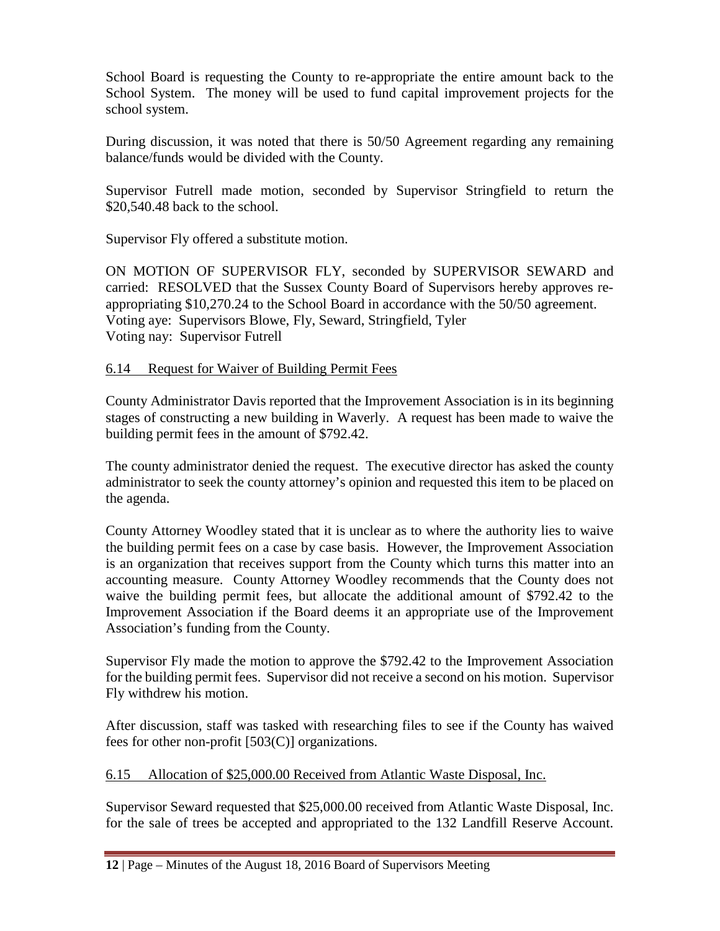School Board is requesting the County to re-appropriate the entire amount back to the School System. The money will be used to fund capital improvement projects for the school system.

During discussion, it was noted that there is 50/50 Agreement regarding any remaining balance/funds would be divided with the County.

Supervisor Futrell made motion, seconded by Supervisor Stringfield to return the \$20,540.48 back to the school.

Supervisor Fly offered a substitute motion.

ON MOTION OF SUPERVISOR FLY, seconded by SUPERVISOR SEWARD and carried: RESOLVED that the Sussex County Board of Supervisors hereby approves reappropriating \$10,270.24 to the School Board in accordance with the 50/50 agreement. Voting aye: Supervisors Blowe, Fly, Seward, Stringfield, Tyler Voting nay: Supervisor Futrell

### 6.14 Request for Waiver of Building Permit Fees

County Administrator Davis reported that the Improvement Association is in its beginning stages of constructing a new building in Waverly. A request has been made to waive the building permit fees in the amount of \$792.42.

The county administrator denied the request. The executive director has asked the county administrator to seek the county attorney's opinion and requested this item to be placed on the agenda.

County Attorney Woodley stated that it is unclear as to where the authority lies to waive the building permit fees on a case by case basis. However, the Improvement Association is an organization that receives support from the County which turns this matter into an accounting measure. County Attorney Woodley recommends that the County does not waive the building permit fees, but allocate the additional amount of \$792.42 to the Improvement Association if the Board deems it an appropriate use of the Improvement Association's funding from the County.

Supervisor Fly made the motion to approve the \$792.42 to the Improvement Association for the building permit fees. Supervisor did not receive a second on his motion. Supervisor Fly withdrew his motion.

After discussion, staff was tasked with researching files to see if the County has waived fees for other non-profit  $[503(C)]$  organizations.

### 6.15 Allocation of \$25,000.00 Received from Atlantic Waste Disposal, Inc.

Supervisor Seward requested that \$25,000.00 received from Atlantic Waste Disposal, Inc. for the sale of trees be accepted and appropriated to the 132 Landfill Reserve Account.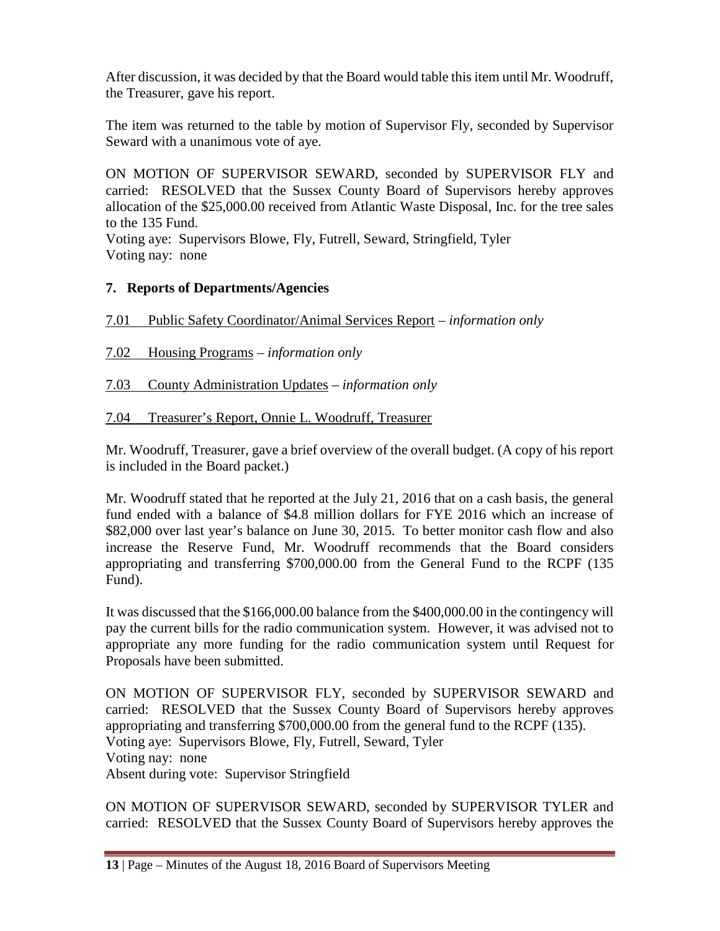After discussion, it was decided by that the Board would table this item until Mr. Woodruff, the Treasurer, gave his report.

The item was returned to the table by motion of Supervisor Fly, seconded by Supervisor Seward with a unanimous vote of aye.

ON MOTION OF SUPERVISOR SEWARD, seconded by SUPERVISOR FLY and carried: RESOLVED that the Sussex County Board of Supervisors hereby approves allocation of the \$25,000.00 received from Atlantic Waste Disposal, Inc. for the tree sales to the 135 Fund.

Voting aye: Supervisors Blowe, Fly, Futrell, Seward, Stringfield, Tyler Voting nay: none

# **7. Reports of Departments/Agencies**

7.01 Public Safety Coordinator/Animal Services Report – *information only*

7.02 Housing Programs – *information only*

7.03 County Administration Updates – *information only*

7.04 Treasurer's Report, Onnie L. Woodruff, Treasurer

Mr. Woodruff, Treasurer, gave a brief overview of the overall budget. (A copy of his report is included in the Board packet.)

Mr. Woodruff stated that he reported at the July 21, 2016 that on a cash basis, the general fund ended with a balance of \$4.8 million dollars for FYE 2016 which an increase of \$82,000 over last year's balance on June 30, 2015. To better monitor cash flow and also increase the Reserve Fund, Mr. Woodruff recommends that the Board considers appropriating and transferring \$700,000.00 from the General Fund to the RCPF (135 Fund).

It was discussed that the \$166,000.00 balance from the \$400,000.00 in the contingency will pay the current bills for the radio communication system. However, it was advised not to appropriate any more funding for the radio communication system until Request for Proposals have been submitted.

ON MOTION OF SUPERVISOR FLY, seconded by SUPERVISOR SEWARD and carried: RESOLVED that the Sussex County Board of Supervisors hereby approves appropriating and transferring \$700,000.00 from the general fund to the RCPF (135). Voting aye: Supervisors Blowe, Fly, Futrell, Seward, Tyler Voting nay: none Absent during vote: Supervisor Stringfield

ON MOTION OF SUPERVISOR SEWARD, seconded by SUPERVISOR TYLER and carried: RESOLVED that the Sussex County Board of Supervisors hereby approves the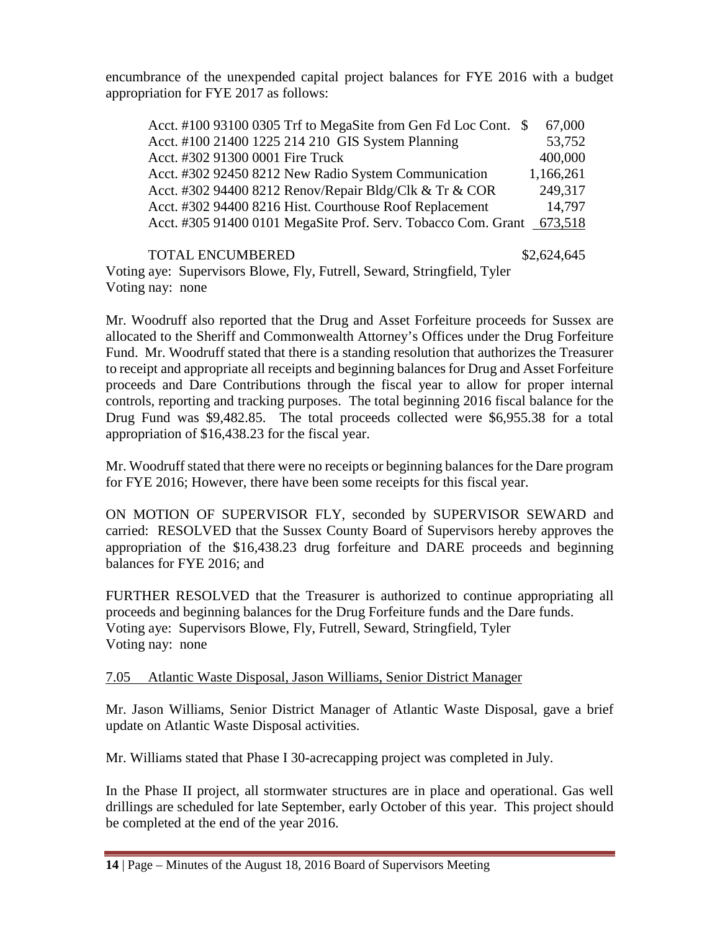encumbrance of the unexpended capital project balances for FYE 2016 with a budget appropriation for FYE 2017 as follows:

|  |  | Acct. #100 93100 0305 Trf to MegaSite from Gen Fd Loc Cont. \$        | 67,000    |
|--|--|-----------------------------------------------------------------------|-----------|
|  |  | Acct. #100 21400 1225 214 210 GIS System Planning                     | 53,752    |
|  |  | Acct. #302 91300 0001 Fire Truck                                      | 400,000   |
|  |  | Acct. #302 92450 8212 New Radio System Communication                  | 1,166,261 |
|  |  | Acct. #302 94400 8212 Renov/Repair Bldg/Clk & Tr & COR                | 249,317   |
|  |  | Acct. #302 94400 8216 Hist. Courthouse Roof Replacement               | 14,797    |
|  |  | Acct. #305 91400 0101 MegaSite Prof. Serv. Tobacco Com. Grant 673,518 |           |
|  |  |                                                                       |           |

TOTAL ENCUMBERED \$2,624,645 Voting aye: Supervisors Blowe, Fly, Futrell, Seward, Stringfield, Tyler Voting nay: none

Mr. Woodruff also reported that the Drug and Asset Forfeiture proceeds for Sussex are allocated to the Sheriff and Commonwealth Attorney's Offices under the Drug Forfeiture Fund. Mr. Woodruff stated that there is a standing resolution that authorizes the Treasurer to receipt and appropriate all receipts and beginning balances for Drug and Asset Forfeiture proceeds and Dare Contributions through the fiscal year to allow for proper internal controls, reporting and tracking purposes. The total beginning 2016 fiscal balance for the Drug Fund was \$9,482.85. The total proceeds collected were \$6,955.38 for a total appropriation of \$16,438.23 for the fiscal year.

Mr. Woodruff stated that there were no receipts or beginning balances for the Dare program for FYE 2016; However, there have been some receipts for this fiscal year.

ON MOTION OF SUPERVISOR FLY, seconded by SUPERVISOR SEWARD and carried: RESOLVED that the Sussex County Board of Supervisors hereby approves the appropriation of the \$16,438.23 drug forfeiture and DARE proceeds and beginning balances for FYE 2016; and

FURTHER RESOLVED that the Treasurer is authorized to continue appropriating all proceeds and beginning balances for the Drug Forfeiture funds and the Dare funds. Voting aye: Supervisors Blowe, Fly, Futrell, Seward, Stringfield, Tyler Voting nay: none

### 7.05 Atlantic Waste Disposal, Jason Williams, Senior District Manager

Mr. Jason Williams, Senior District Manager of Atlantic Waste Disposal, gave a brief update on Atlantic Waste Disposal activities.

Mr. Williams stated that Phase I 30-acrecapping project was completed in July.

In the Phase II project, all stormwater structures are in place and operational. Gas well drillings are scheduled for late September, early October of this year. This project should be completed at the end of the year 2016.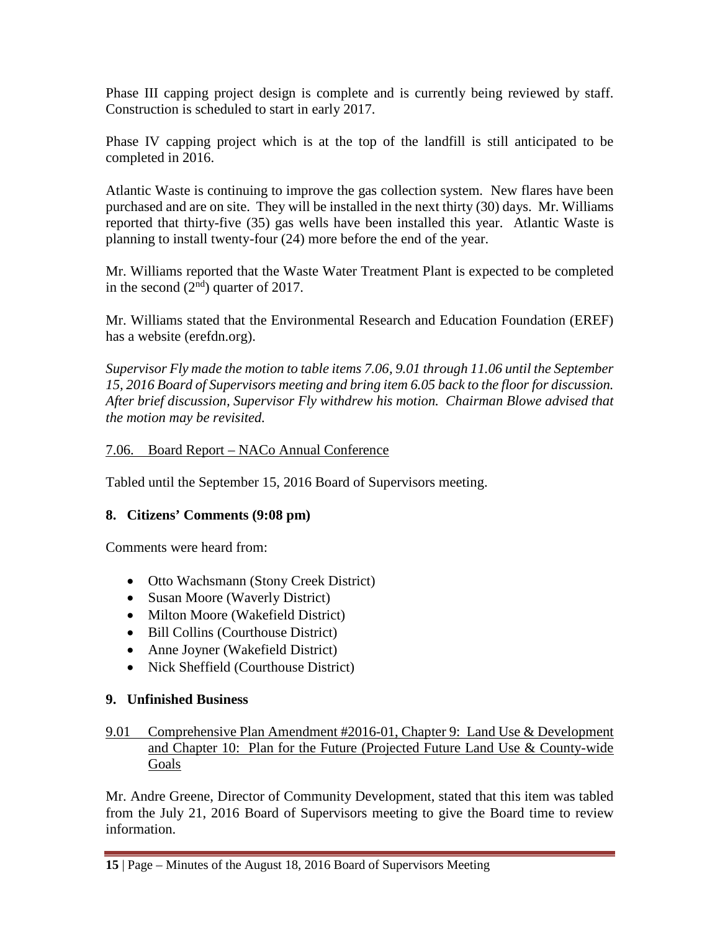Phase III capping project design is complete and is currently being reviewed by staff. Construction is scheduled to start in early 2017.

Phase IV capping project which is at the top of the landfill is still anticipated to be completed in 2016.

Atlantic Waste is continuing to improve the gas collection system. New flares have been purchased and are on site. They will be installed in the next thirty (30) days. Mr. Williams reported that thirty-five (35) gas wells have been installed this year. Atlantic Waste is planning to install twenty-four (24) more before the end of the year.

Mr. Williams reported that the Waste Water Treatment Plant is expected to be completed in the second  $(2<sup>nd</sup>)$  quarter of 2017.

Mr. Williams stated that the Environmental Research and Education Foundation (EREF) has a website (erefdn.org).

*Supervisor Fly made the motion to table items 7.06, 9.01 through 11.06 until the September 15, 2016 Board of Supervisors meeting and bring item 6.05 back to the floor for discussion. After brief discussion, Supervisor Fly withdrew his motion. Chairman Blowe advised that the motion may be revisited.*

### 7.06. Board Report – NACo Annual Conference

Tabled until the September 15, 2016 Board of Supervisors meeting.

### **8. Citizens' Comments (9:08 pm)**

Comments were heard from:

- Otto Wachsmann (Stony Creek District)
- Susan Moore (Waverly District)
- Milton Moore (Wakefield District)
- Bill Collins (Courthouse District)
- Anne Joyner (Wakefield District)
- Nick Sheffield (Courthouse District)

### **9. Unfinished Business**

### 9.01 Comprehensive Plan Amendment #2016-01, Chapter 9: Land Use & Development and Chapter 10: Plan for the Future (Projected Future Land Use & County-wide Goals

Mr. Andre Greene, Director of Community Development, stated that this item was tabled from the July 21, 2016 Board of Supervisors meeting to give the Board time to review information.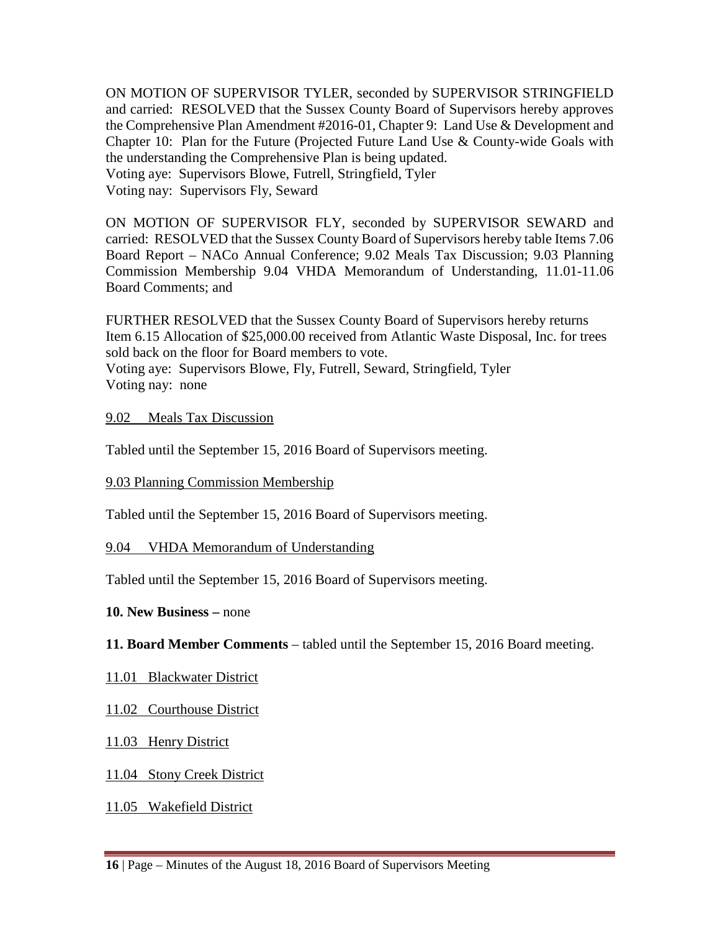ON MOTION OF SUPERVISOR TYLER, seconded by SUPERVISOR STRINGFIELD and carried: RESOLVED that the Sussex County Board of Supervisors hereby approves the Comprehensive Plan Amendment #2016-01, Chapter 9: Land Use & Development and Chapter 10: Plan for the Future (Projected Future Land Use & County-wide Goals with the understanding the Comprehensive Plan is being updated. Voting aye: Supervisors Blowe, Futrell, Stringfield, Tyler

Voting nay: Supervisors Fly, Seward

ON MOTION OF SUPERVISOR FLY, seconded by SUPERVISOR SEWARD and carried: RESOLVED that the Sussex County Board of Supervisors hereby table Items 7.06 Board Report – NACo Annual Conference; 9.02 Meals Tax Discussion; 9.03 Planning Commission Membership 9.04 VHDA Memorandum of Understanding, 11.01-11.06 Board Comments; and

FURTHER RESOLVED that the Sussex County Board of Supervisors hereby returns Item 6.15 Allocation of \$25,000.00 received from Atlantic Waste Disposal, Inc. for trees sold back on the floor for Board members to vote.

Voting aye: Supervisors Blowe, Fly, Futrell, Seward, Stringfield, Tyler Voting nay: none

#### 9.02 Meals Tax Discussion

Tabled until the September 15, 2016 Board of Supervisors meeting.

9.03 Planning Commission Membership

Tabled until the September 15, 2016 Board of Supervisors meeting.

### 9.04 VHDA Memorandum of Understanding

Tabled until the September 15, 2016 Board of Supervisors meeting.

### **10. New Business –** none

**11. Board Member Comments** – tabled until the September 15, 2016 Board meeting.

- 11.01 Blackwater District
- 11.02 Courthouse District
- 11.03 Henry District

### 11.04 Stony Creek District

11.05 Wakefield District